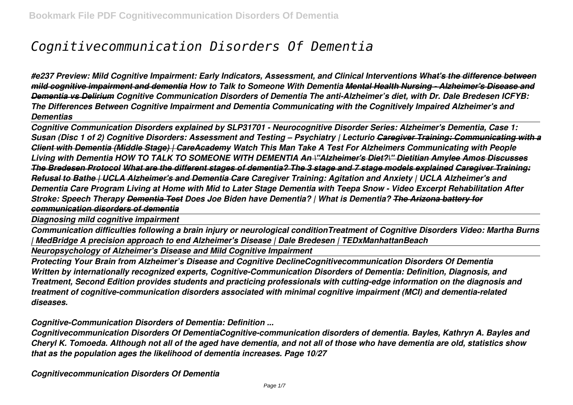# *Cognitivecommunication Disorders Of Dementia*

*#e237 Preview: Mild Cognitive Impairment: Early Indicators, Assessment, and Clinical Interventions What's the difference between mild cognitive impairment and dementia How to Talk to Someone With Dementia Mental Health Nursing - Alzheimer's Disease and Dementia vs Delirium Cognitive Communication Disorders of Dementia The anti-Alzheimer's diet, with Dr. Dale Bredesen ICFYB: The Differences Between Cognitive Impairment and Dementia Communicating with the Cognitively Impaired Alzheimer's and Dementias*

*Cognitive Communication Disorders explained by SLP31701 - Neurocognitive Disorder Series: Alzheimer's Dementia, Case 1: Susan (Disc 1 of 2) Cognitive Disorders: Assessment and Testing – Psychiatry | Lecturio Caregiver Training: Communicating with a Client with Dementia (Middle Stage) | CareAcademy Watch This Man Take A Test For Alzheimers Communicating with People Living with Dementia HOW TO TALK TO SOMEONE WITH DEMENTIA An \"Alzheimer's Diet?\" Dietitian Amylee Amos Discusses The Bredesen Protocol What are the different stages of dementia? The 3 stage and 7 stage models explained Caregiver Training: Refusal to Bathe | UCLA Alzheimer's and Dementia Care Caregiver Training: Agitation and Anxiety | UCLA Alzheimer's and Dementia Care Program Living at Home with Mid to Later Stage Dementia with Teepa Snow - Video Excerpt Rehabilitation After Stroke: Speech Therapy Dementia Test Does Joe Biden have Dementia? | What is Dementia? The Arizona battery for communication disorders of dementia*

*Diagnosing mild cognitive impairment*

*Communication difficulties following a brain injury or neurological conditionTreatment of Cognitive Disorders Video: Martha Burns | MedBridge A precision approach to end Alzheimer's Disease | Dale Bredesen | TEDxManhattanBeach*

*Neuropsychology of Alzheimer's Disease and Mild Cognitive Impairment*

*Protecting Your Brain from Alzheimer's Disease and Cognitive DeclineCognitivecommunication Disorders Of Dementia Written by internationally recognized experts, Cognitive-Communication Disorders of Dementia: Definition, Diagnosis, and Treatment, Second Edition provides students and practicing professionals with cutting-edge information on the diagnosis and treatment of cognitive-communication disorders associated with minimal cognitive impairment (MCI) and dementia-related diseases.*

*Cognitive-Communication Disorders of Dementia: Definition ...*

*Cognitivecommunication Disorders Of DementiaCognitive-communication disorders of dementia. Bayles, Kathryn A. Bayles and Cheryl K. Tomoeda. Although not all of the aged have dementia, and not all of those who have dementia are old, statistics show that as the population ages the likelihood of dementia increases. Page 10/27*

*Cognitivecommunication Disorders Of Dementia*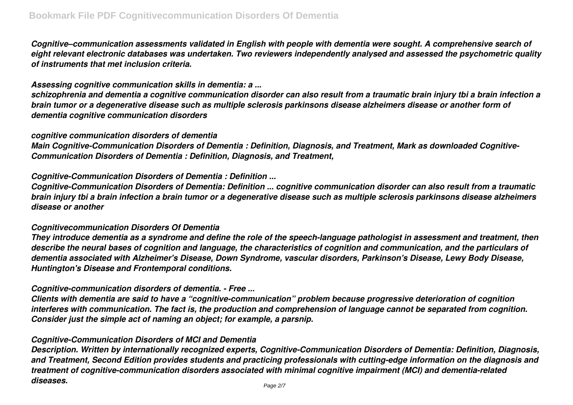*Cognitive–communication assessments validated in English with people with dementia were sought. A comprehensive search of eight relevant electronic databases was undertaken. Two reviewers independently analysed and assessed the psychometric quality of instruments that met inclusion criteria.*

#### *Assessing cognitive communication skills in dementia: a ...*

*schizophrenia and dementia a cognitive communication disorder can also result from a traumatic brain injury tbi a brain infection a brain tumor or a degenerative disease such as multiple sclerosis parkinsons disease alzheimers disease or another form of dementia cognitive communication disorders*

#### *cognitive communication disorders of dementia*

*Main Cognitive-Communication Disorders of Dementia : Definition, Diagnosis, and Treatment, Mark as downloaded Cognitive-Communication Disorders of Dementia : Definition, Diagnosis, and Treatment,*

#### *Cognitive-Communication Disorders of Dementia : Definition ...*

*Cognitive-Communication Disorders of Dementia: Definition ... cognitive communication disorder can also result from a traumatic brain injury tbi a brain infection a brain tumor or a degenerative disease such as multiple sclerosis parkinsons disease alzheimers disease or another*

#### *Cognitivecommunication Disorders Of Dementia*

*They introduce dementia as a syndrome and define the role of the speech-language pathologist in assessment and treatment, then describe the neural bases of cognition and language, the characteristics of cognition and communication, and the particulars of dementia associated with Alzheimer's Disease, Down Syndrome, vascular disorders, Parkinson's Disease, Lewy Body Disease, Huntington's Disease and Frontemporal conditions.*

#### *Cognitive-communication disorders of dementia. - Free ...*

*Clients with dementia are said to have a "cognitive-communication" problem because progressive deterioration of cognition interferes with communication. The fact is, the production and comprehension of language cannot be separated from cognition. Consider just the simple act of naming an object; for example, a parsnip.*

#### *Cognitive-Communication Disorders of MCI and Dementia*

*Description. Written by internationally recognized experts, Cognitive-Communication Disorders of Dementia: Definition, Diagnosis, and Treatment, Second Edition provides students and practicing professionals with cutting-edge information on the diagnosis and treatment of cognitive-communication disorders associated with minimal cognitive impairment (MCI) and dementia-related diseases.*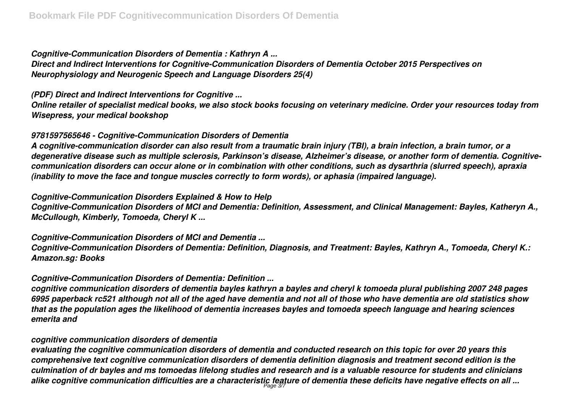## *Cognitive-Communication Disorders of Dementia : Kathryn A ...*

*Direct and Indirect Interventions for Cognitive-Communication Disorders of Dementia October 2015 Perspectives on Neurophysiology and Neurogenic Speech and Language Disorders 25(4)*

# *(PDF) Direct and Indirect Interventions for Cognitive ...*

*Online retailer of specialist medical books, we also stock books focusing on veterinary medicine. Order your resources today from Wisepress, your medical bookshop*

# *9781597565646 - Cognitive-Communication Disorders of Dementia*

*A cognitive-communication disorder can also result from a traumatic brain injury (TBI), a brain infection, a brain tumor, or a degenerative disease such as multiple sclerosis, Parkinson's disease, Alzheimer's disease, or another form of dementia. Cognitivecommunication disorders can occur alone or in combination with other conditions, such as dysarthria (slurred speech), apraxia (inability to move the face and tongue muscles correctly to form words), or aphasia (impaired language).*

## *Cognitive-Communication Disorders Explained & How to Help*

*Cognitive-Communication Disorders of MCI and Dementia: Definition, Assessment, and Clinical Management: Bayles, Katheryn A., McCullough, Kimberly, Tomoeda, Cheryl K ...*

## *Cognitive-Communication Disorders of MCI and Dementia ...*

*Cognitive-Communication Disorders of Dementia: Definition, Diagnosis, and Treatment: Bayles, Kathryn A., Tomoeda, Cheryl K.: Amazon.sg: Books*

## *Cognitive-Communication Disorders of Dementia: Definition ...*

*cognitive communication disorders of dementia bayles kathryn a bayles and cheryl k tomoeda plural publishing 2007 248 pages 6995 paperback rc521 although not all of the aged have dementia and not all of those who have dementia are old statistics show that as the population ages the likelihood of dementia increases bayles and tomoeda speech language and hearing sciences emerita and*

#### *cognitive communication disorders of dementia*

*evaluating the cognitive communication disorders of dementia and conducted research on this topic for over 20 years this comprehensive text cognitive communication disorders of dementia definition diagnosis and treatment second edition is the culmination of dr bayles and ms tomoedas lifelong studies and research and is a valuable resource for students and clinicians alike cognitive communication difficulties are a characteristic feature of dementia these deficits have negative effects on all ...* Page 3/7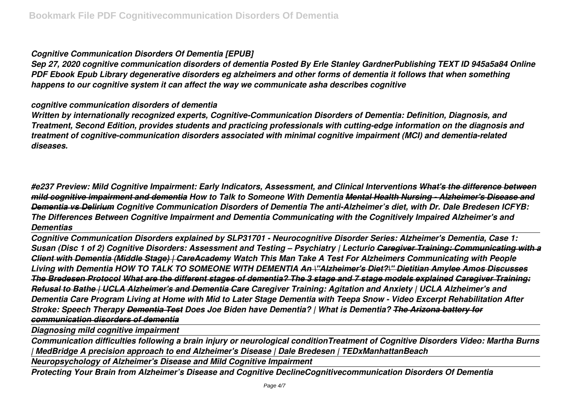## *Cognitive Communication Disorders Of Dementia [EPUB]*

*Sep 27, 2020 cognitive communication disorders of dementia Posted By Erle Stanley GardnerPublishing TEXT ID 945a5a84 Online PDF Ebook Epub Library degenerative disorders eg alzheimers and other forms of dementia it follows that when something happens to our cognitive system it can affect the way we communicate asha describes cognitive*

#### *cognitive communication disorders of dementia*

*Written by internationally recognized experts, Cognitive-Communication Disorders of Dementia: Definition, Diagnosis, and Treatment, Second Edition, provides students and practicing professionals with cutting-edge information on the diagnosis and treatment of cognitive-communication disorders associated with minimal cognitive impairment (MCI) and dementia-related diseases.*

*#e237 Preview: Mild Cognitive Impairment: Early Indicators, Assessment, and Clinical Interventions What's the difference between mild cognitive impairment and dementia How to Talk to Someone With Dementia Mental Health Nursing - Alzheimer's Disease and Dementia vs Delirium Cognitive Communication Disorders of Dementia The anti-Alzheimer's diet, with Dr. Dale Bredesen ICFYB: The Differences Between Cognitive Impairment and Dementia Communicating with the Cognitively Impaired Alzheimer's and Dementias*

*Cognitive Communication Disorders explained by SLP31701 - Neurocognitive Disorder Series: Alzheimer's Dementia, Case 1: Susan (Disc 1 of 2) Cognitive Disorders: Assessment and Testing – Psychiatry | Lecturio Caregiver Training: Communicating with a Client with Dementia (Middle Stage) | CareAcademy Watch This Man Take A Test For Alzheimers Communicating with People Living with Dementia HOW TO TALK TO SOMEONE WITH DEMENTIA An \"Alzheimer's Diet?\" Dietitian Amylee Amos Discusses The Bredesen Protocol What are the different stages of dementia? The 3 stage and 7 stage models explained Caregiver Training: Refusal to Bathe | UCLA Alzheimer's and Dementia Care Caregiver Training: Agitation and Anxiety | UCLA Alzheimer's and Dementia Care Program Living at Home with Mid to Later Stage Dementia with Teepa Snow - Video Excerpt Rehabilitation After Stroke: Speech Therapy Dementia Test Does Joe Biden have Dementia? | What is Dementia? The Arizona battery for communication disorders of dementia*

*Diagnosing mild cognitive impairment*

*Communication difficulties following a brain injury or neurological conditionTreatment of Cognitive Disorders Video: Martha Burns | MedBridge A precision approach to end Alzheimer's Disease | Dale Bredesen | TEDxManhattanBeach*

*Neuropsychology of Alzheimer's Disease and Mild Cognitive Impairment*

*Protecting Your Brain from Alzheimer's Disease and Cognitive DeclineCognitivecommunication Disorders Of Dementia*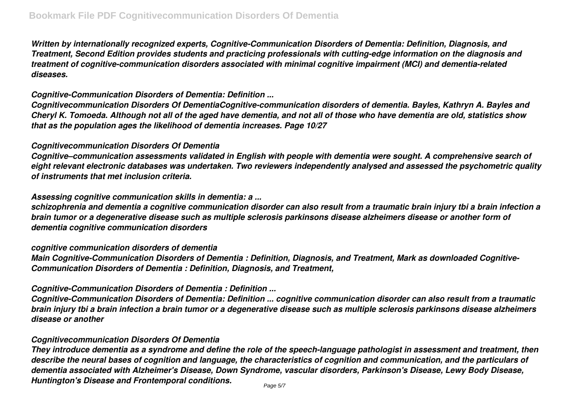*Written by internationally recognized experts, Cognitive-Communication Disorders of Dementia: Definition, Diagnosis, and Treatment, Second Edition provides students and practicing professionals with cutting-edge information on the diagnosis and treatment of cognitive-communication disorders associated with minimal cognitive impairment (MCI) and dementia-related diseases.*

## *Cognitive-Communication Disorders of Dementia: Definition ...*

*Cognitivecommunication Disorders Of DementiaCognitive-communication disorders of dementia. Bayles, Kathryn A. Bayles and Cheryl K. Tomoeda. Although not all of the aged have dementia, and not all of those who have dementia are old, statistics show that as the population ages the likelihood of dementia increases. Page 10/27*

## *Cognitivecommunication Disorders Of Dementia*

*Cognitive–communication assessments validated in English with people with dementia were sought. A comprehensive search of eight relevant electronic databases was undertaken. Two reviewers independently analysed and assessed the psychometric quality of instruments that met inclusion criteria.*

## *Assessing cognitive communication skills in dementia: a ...*

*schizophrenia and dementia a cognitive communication disorder can also result from a traumatic brain injury tbi a brain infection a brain tumor or a degenerative disease such as multiple sclerosis parkinsons disease alzheimers disease or another form of dementia cognitive communication disorders*

#### *cognitive communication disorders of dementia*

*Main Cognitive-Communication Disorders of Dementia : Definition, Diagnosis, and Treatment, Mark as downloaded Cognitive-Communication Disorders of Dementia : Definition, Diagnosis, and Treatment,*

## *Cognitive-Communication Disorders of Dementia : Definition ...*

*Cognitive-Communication Disorders of Dementia: Definition ... cognitive communication disorder can also result from a traumatic brain injury tbi a brain infection a brain tumor or a degenerative disease such as multiple sclerosis parkinsons disease alzheimers disease or another*

## *Cognitivecommunication Disorders Of Dementia*

*They introduce dementia as a syndrome and define the role of the speech-language pathologist in assessment and treatment, then describe the neural bases of cognition and language, the characteristics of cognition and communication, and the particulars of dementia associated with Alzheimer's Disease, Down Syndrome, vascular disorders, Parkinson's Disease, Lewy Body Disease, Huntington's Disease and Frontemporal conditions.*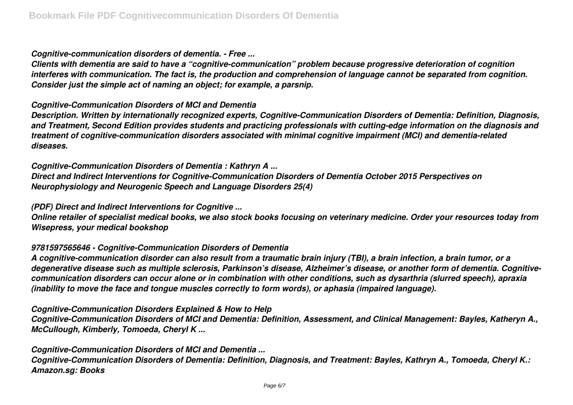## *Cognitive-communication disorders of dementia. - Free ...*

*Clients with dementia are said to have a "cognitive-communication" problem because progressive deterioration of cognition interferes with communication. The fact is, the production and comprehension of language cannot be separated from cognition. Consider just the simple act of naming an object; for example, a parsnip.*

## *Cognitive-Communication Disorders of MCI and Dementia*

*Description. Written by internationally recognized experts, Cognitive-Communication Disorders of Dementia: Definition, Diagnosis, and Treatment, Second Edition provides students and practicing professionals with cutting-edge information on the diagnosis and treatment of cognitive-communication disorders associated with minimal cognitive impairment (MCI) and dementia-related diseases.*

#### *Cognitive-Communication Disorders of Dementia : Kathryn A ...*

*Direct and Indirect Interventions for Cognitive-Communication Disorders of Dementia October 2015 Perspectives on Neurophysiology and Neurogenic Speech and Language Disorders 25(4)*

## *(PDF) Direct and Indirect Interventions for Cognitive ...*

*Online retailer of specialist medical books, we also stock books focusing on veterinary medicine. Order your resources today from Wisepress, your medical bookshop*

#### *9781597565646 - Cognitive-Communication Disorders of Dementia*

*A cognitive-communication disorder can also result from a traumatic brain injury (TBI), a brain infection, a brain tumor, or a degenerative disease such as multiple sclerosis, Parkinson's disease, Alzheimer's disease, or another form of dementia. Cognitivecommunication disorders can occur alone or in combination with other conditions, such as dysarthria (slurred speech), apraxia (inability to move the face and tongue muscles correctly to form words), or aphasia (impaired language).*

#### *Cognitive-Communication Disorders Explained & How to Help*

*Cognitive-Communication Disorders of MCI and Dementia: Definition, Assessment, and Clinical Management: Bayles, Katheryn A., McCullough, Kimberly, Tomoeda, Cheryl K ...*

*Cognitive-Communication Disorders of MCI and Dementia ...*

*Cognitive-Communication Disorders of Dementia: Definition, Diagnosis, and Treatment: Bayles, Kathryn A., Tomoeda, Cheryl K.: Amazon.sg: Books*